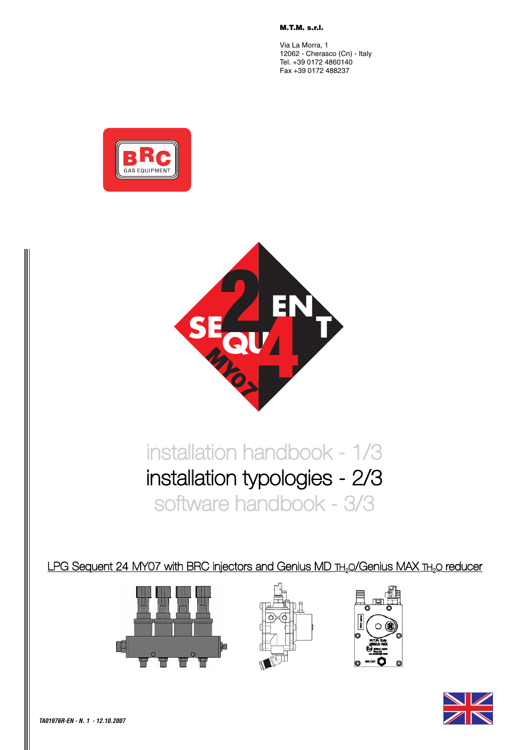**M.T.M. s.r.l.**

Via La Morra, 1 12062 - Cherasco (Cn) - Italy Tel. +39 0172 4860140 Fax +39 0172 488237





## installation handbook - 1/3 installation typologies - 2/3 software handbook - 3/3

LPG Sequent 24 MY07 with BRC injectors and Genius MD TH<sub>2</sub>O/Genius MAX TH<sub>2</sub>O reducer







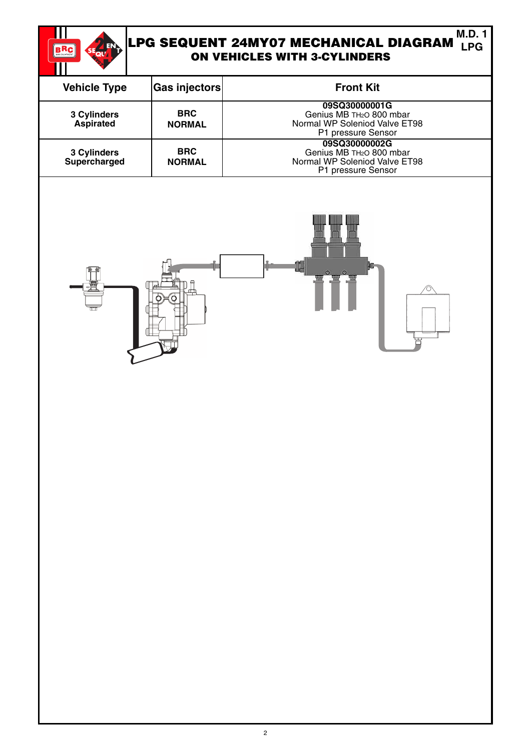

## **LPG SEQUENT 24MY07 MECHANICAL DIAGRAM ON VEHICLES WITH 3-CYLINDERS M.D. 1 LPG**

| <b>Vehicle Type</b>             | <b>Gas injectors</b>        | <b>Front Kit</b>                                                                                             |
|---------------------------------|-----------------------------|--------------------------------------------------------------------------------------------------------------|
| 3 Cylinders<br><b>Aspirated</b> | <b>BRC</b><br><b>NORMAL</b> | 09SQ30000001G<br>Genius MB TH <sub>2</sub> O 800 mbar<br>Normal WP Soleniod Valve ET98<br>P1 pressure Sensor |
| 3 Cylinders<br>Supercharged     | <b>BRC</b><br><b>NORMAL</b> | 09SQ30000002G<br>Genius MB TH <sub>2</sub> O 800 mbar<br>Normal WP Soleniod Valve ET98<br>P1 pressure Sensor |

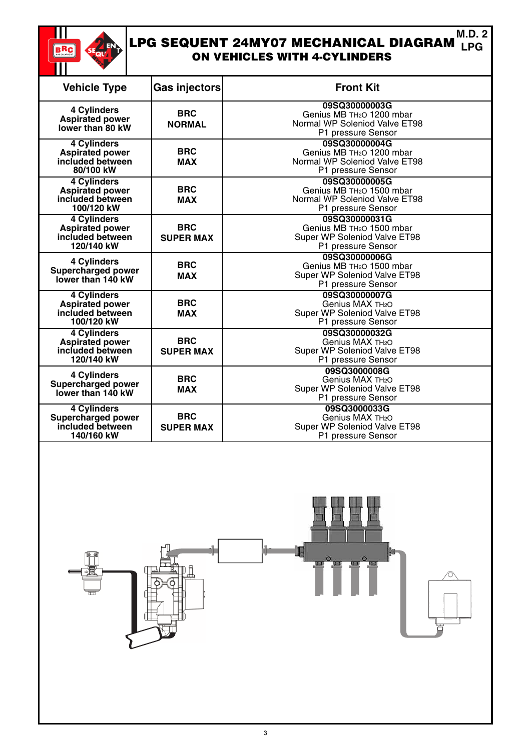

## **LPG SEQUENT 24MY07 MECHANICAL DIAGRAM ON VEHICLES WITH 4-CYLINDERS M.D. 2 LPG**

| <b>Vehicle Type</b>                                                               | <b>Gas injectors</b>           | <b>Front Kit</b>                                                                                              |
|-----------------------------------------------------------------------------------|--------------------------------|---------------------------------------------------------------------------------------------------------------|
| <b>4 Cylinders</b><br><b>Aspirated power</b><br>lower than 80 kW                  | <b>BRC</b><br><b>NORMAL</b>    | 09SQ30000003G<br>Genius MB TH <sub>2</sub> O 1200 mbar<br>Normal WP Soleniod Valve ET98<br>P1 pressure Sensor |
| <b>4 Cylinders</b><br><b>Aspirated power</b><br>included between<br>80/100 kW     | <b>BRC</b><br><b>MAX</b>       | 09SQ30000004G<br>Genius MB TH <sub>2</sub> O 1200 mbar<br>Normal WP Soleniod Valve ET98<br>P1 pressure Sensor |
| <b>4 Cylinders</b><br><b>Aspirated power</b><br>included between<br>100/120 kW    | <b>BRC</b><br><b>MAX</b>       | 09SQ30000005G<br>Genius MB TH <sub>2</sub> O 1500 mbar<br>Normal WP Soleniod Valve ET98<br>P1 pressure Sensor |
| <b>4 Cylinders</b><br><b>Aspirated power</b><br>included between<br>120/140 kW    | <b>BRC</b><br><b>SUPER MAX</b> | 09SQ30000031G<br>Genius MB TH <sub>2</sub> O 1500 mbar<br>Super WP Soleniod Valve ET98<br>P1 pressure Sensor  |
| 4 Cylinders<br><b>Supercharged power</b><br>lower than 140 kW                     | <b>BRC</b><br><b>MAX</b>       | 09SQ30000006G<br>Genius MB TH <sub>2</sub> O 1500 mbar<br>Super WP Soleniod Valve ET98<br>P1 pressure Sensor  |
| 4 Cylinders<br><b>Aspirated power</b><br>included between<br>100/120 kW           | <b>BRC</b><br><b>MAX</b>       | 09SQ30000007G<br>Genius MAX TH <sub>2</sub> O<br>Super WP Soleniod Valve ET98<br>P1 pressure Sensor           |
| 4 Cylinders<br><b>Aspirated power</b><br>included between<br>120/140 kW           | <b>BRC</b><br><b>SUPER MAX</b> | 09SQ30000032G<br>Genius MAX TH <sub>2</sub> O<br>Super WP Soleniod Valve ET98<br>P1 pressure Sensor           |
| <b>4 Cylinders</b><br><b>Supercharged power</b><br>lower than 140 kW              | <b>BRC</b><br><b>MAX</b>       | 09SQ3000008G<br>Genius MAX TH <sub>2</sub> O<br>Super WP Soleniod Valve ET98<br>P1 pressure Sensor            |
| <b>4 Cylinders</b><br><b>Supercharged power</b><br>included between<br>140/160 kW | <b>BRC</b><br><b>SUPER MAX</b> | 09SQ3000033G<br>Genius MAX TH <sub>2</sub> O<br>Super WP Soleniod Valve ET98<br>P1 pressure Sensor            |